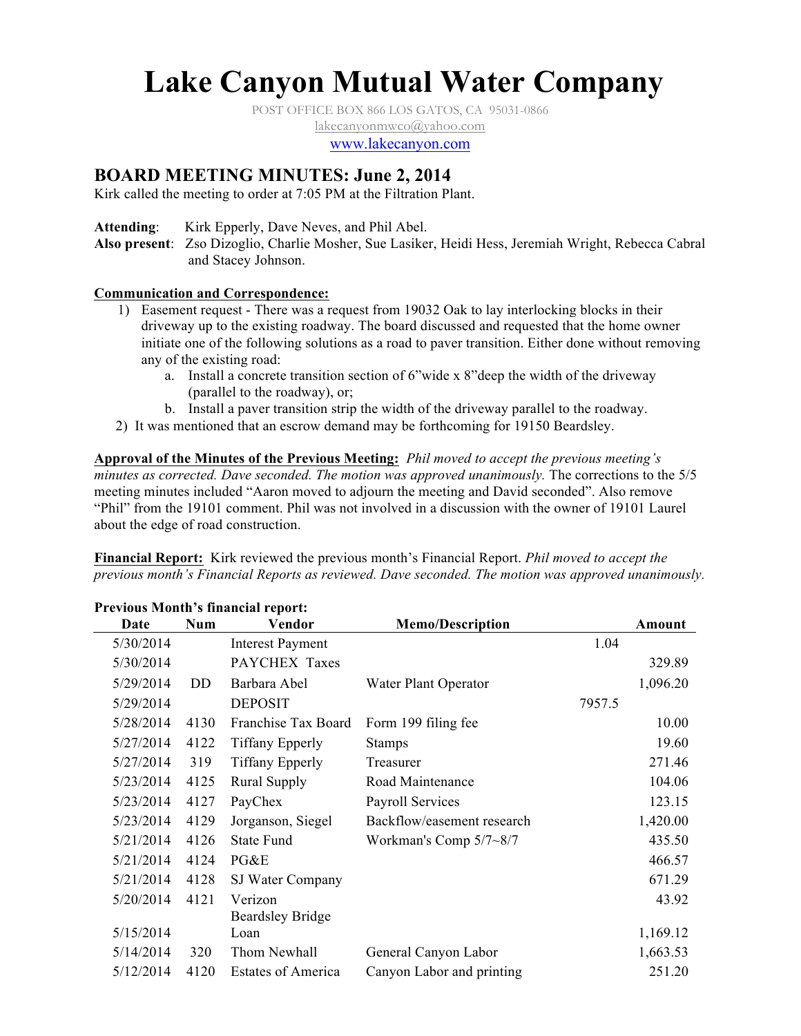# **Lake Canyon Mutual Water Company**

POST OFFICE BOX 866 LOS GATOS, CA 95031-0866

lakecanyonmwco@yahoo.com

www.lakecanyon.com

# **BOARD MEETING MINUTES: June 2, 2014**

Kirk called the meeting to order at 7:05 PM at the Filtration Plant.

Attending: Kirk Epperly, Dave Neves, and Phil Abel.

**Also present**: Zso Dizoglio, Charlie Mosher, Sue Lasiker, Heidi Hess, Jeremiah Wright, Rebecca Cabral and Stacey Johnson.

#### **Communication and Correspondence:**

- 1) Easement request There was a request from 19032 Oak to lay interlocking blocks in their driveway up to the existing roadway. The board discussed and requested that the home owner initiate one of the following solutions as a road to paver transition. Either done without removing any of the existing road:
	- a. Install a concrete transition section of 6"wide x 8"deep the width of the driveway (parallel to the roadway), or;
	- b. Install a paver transition strip the width of the driveway parallel to the roadway.
- 2) It was mentioned that an escrow demand may be forthcoming for 19150 Beardsley.

**Approval of the Minutes of the Previous Meeting:** *Phil moved to accept the previous meeting's minutes as corrected. Dave seconded. The motion was approved unanimously.* The corrections to the 5/5 meeting minutes included "Aaron moved to adjourn the meeting and David seconded". Also remove "Phil" from the 19101 comment. Phil was not involved in a discussion with the owner of 19101 Laurel about the edge of road construction.

**Financial Report:** Kirk reviewed the previous month's Financial Report. *Phil moved to accept the previous month's Financial Reports as reviewed. Dave seconded. The motion was approved unanimously.*

| Terious month s'infunciui report. |            |                           |                            |        |          |  |  |  |  |  |
|-----------------------------------|------------|---------------------------|----------------------------|--------|----------|--|--|--|--|--|
| Date                              | <b>Num</b> | Vendor                    | <b>Memo/Description</b>    |        | Amount   |  |  |  |  |  |
| 5/30/2014                         |            | <b>Interest Payment</b>   |                            | 1.04   |          |  |  |  |  |  |
| 5/30/2014                         |            | PAYCHEX Taxes             |                            |        | 329.89   |  |  |  |  |  |
| 5/29/2014                         | DD         | Barbara Abel              | Water Plant Operator       |        | 1,096.20 |  |  |  |  |  |
| 5/29/2014                         |            | <b>DEPOSIT</b>            |                            | 7957.5 |          |  |  |  |  |  |
| 5/28/2014                         | 4130       | Franchise Tax Board       | Form 199 filing fee        |        | 10.00    |  |  |  |  |  |
| 5/27/2014                         | 4122       | <b>Tiffany Epperly</b>    | <b>Stamps</b>              |        | 19.60    |  |  |  |  |  |
| 5/27/2014                         | 319        | <b>Tiffany Epperly</b>    | Treasurer                  |        | 271.46   |  |  |  |  |  |
| 5/23/2014                         | 4125       | <b>Rural Supply</b>       | Road Maintenance           |        | 104.06   |  |  |  |  |  |
| 5/23/2014                         | 4127       | PayChex                   | <b>Payroll Services</b>    |        | 123.15   |  |  |  |  |  |
| 5/23/2014                         | 4129       | Jorganson, Siegel         | Backflow/easement research |        | 1,420.00 |  |  |  |  |  |
| 5/21/2014                         | 4126       | <b>State Fund</b>         | Workman's Comp $5/7 - 8/7$ |        | 435.50   |  |  |  |  |  |
| 5/21/2014                         | 4124       | PG&E                      |                            |        | 466.57   |  |  |  |  |  |
| 5/21/2014                         | 4128       | SJ Water Company          |                            |        | 671.29   |  |  |  |  |  |
| 5/20/2014                         | 4121       | Verizon                   |                            |        | 43.92    |  |  |  |  |  |
|                                   |            | <b>Beardsley Bridge</b>   |                            |        |          |  |  |  |  |  |
| 5/15/2014                         |            | Loan                      |                            |        | 1,169.12 |  |  |  |  |  |
| 5/14/2014                         | 320        | Thom Newhall              | General Canyon Labor       |        | 1,663.53 |  |  |  |  |  |
| 5/12/2014                         | 4120       | <b>Estates of America</b> | Canyon Labor and printing  |        | 251.20   |  |  |  |  |  |

# **Previous Month's financial report:**